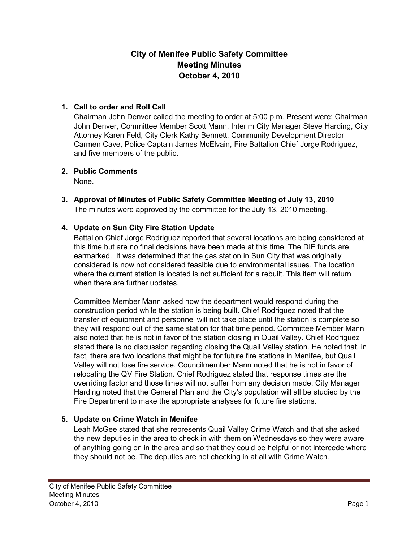# **City of Menifee Public Safety Committee Meeting Minutes October 4, 2010**

### **1. Call to order and Roll Call**

Chairman John Denver called the meeting to order at 5:00 p.m. Present were: Chairman John Denver, Committee Member Scott Mann, Interim City Manager Steve Harding, City Attorney Karen Feld, City Clerk Kathy Bennett, Community Development Director Carmen Cave, Police Captain James McElvain, Fire Battalion Chief Jorge Rodriguez, and five members of the public.

### **2. Public Comments**

None.

**3. Approval of Minutes of Public Safety Committee Meeting of July 13, 2010**  The minutes were approved by the committee for the July 13, 2010 meeting.

## **4. Update on Sun City Fire Station Update**

Battalion Chief Jorge Rodriguez reported that several locations are being considered at this time but are no final decisions have been made at this time. The DIF funds are earmarked. It was determined that the gas station in Sun City that was originally considered is now not considered feasible due to environmental issues. The location where the current station is located is not sufficient for a rebuilt. This item will return when there are further updates.

Committee Member Mann asked how the department would respond during the construction period while the station is being built. Chief Rodriguez noted that the transfer of equipment and personnel will not take place until the station is complete so they will respond out of the same station for that time period. Committee Member Mann also noted that he is not in favor of the station closing in Quail Valley. Chief Rodriguez stated there is no discussion regarding closing the Quail Valley station. He noted that, in fact, there are two locations that might be for future fire stations in Menifee, but Quail Valley will not lose fire service. Councilmember Mann noted that he is not in favor of relocating the QV Fire Station. Chief Rodriguez stated that response times are the overriding factor and those times will not suffer from any decision made. City Manager Harding noted that the General Plan and the City's population will all be studied by the Fire Department to make the appropriate analyses for future fire stations.

### **5. Update on Crime Watch in Menifee**

Leah McGee stated that she represents Quail Valley Crime Watch and that she asked the new deputies in the area to check in with them on Wednesdays so they were aware of anything going on in the area and so that they could be helpful or not intercede where they should not be. The deputies are not checking in at all with Crime Watch.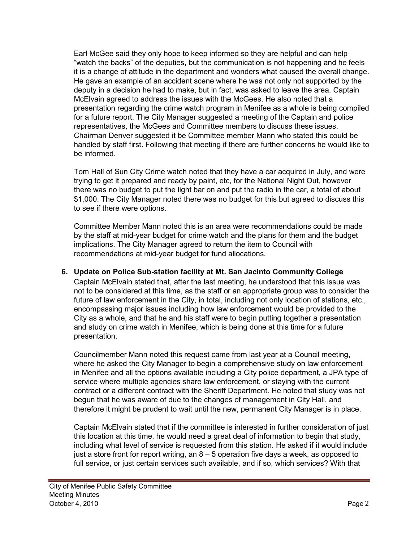Earl McGee said they only hope to keep informed so they are helpful and can help "watch the backs" of the deputies, but the communication is not happening and he feels it is a change of attitude in the department and wonders what caused the overall change. He gave an example of an accident scene where he was not only not supported by the deputy in a decision he had to make, but in fact, was asked to leave the area. Captain McElvain agreed to address the issues with the McGees. He also noted that a presentation regarding the crime watch program in Menifee as a whole is being compiled for a future report. The City Manager suggested a meeting of the Captain and police representatives, the McGees and Committee members to discuss these issues. Chairman Denver suggested it be Committee member Mann who stated this could be handled by staff first. Following that meeting if there are further concerns he would like to be informed.

Tom Hall of Sun City Crime watch noted that they have a car acquired in July, and were trying to get it prepared and ready by paint, etc, for the National Night Out, however there was no budget to put the light bar on and put the radio in the car, a total of about \$1,000. The City Manager noted there was no budget for this but agreed to discuss this to see if there were options.

Committee Member Mann noted this is an area were recommendations could be made by the staff at mid-year budget for crime watch and the plans for them and the budget implications. The City Manager agreed to return the item to Council with recommendations at mid-year budget for fund allocations.

### **6. Update on Police Sub-station facility at Mt. San Jacinto Community College**

Captain McElvain stated that, after the last meeting, he understood that this issue was not to be considered at this time, as the staff or an appropriate group was to consider the future of law enforcement in the City, in total, including not only location of stations, etc., encompassing major issues including how law enforcement would be provided to the City as a whole, and that he and his staff were to begin putting together a presentation and study on crime watch in Menifee, which is being done at this time for a future presentation.

Councilmember Mann noted this request came from last year at a Council meeting, where he asked the City Manager to begin a comprehensive study on law enforcement in Menifee and all the options available including a City police department, a JPA type of service where multiple agencies share law enforcement, or staying with the current contract or a different contract with the Sheriff Department. He noted that study was not begun that he was aware of due to the changes of management in City Hall, and therefore it might be prudent to wait until the new, permanent City Manager is in place.

Captain McElvain stated that if the committee is interested in further consideration of just this location at this time, he would need a great deal of information to begin that study, including what level of service is requested from this station. He asked if it would include just a store front for report writing, an  $8 - 5$  operation five days a week, as opposed to full service, or just certain services such available, and if so, which services? With that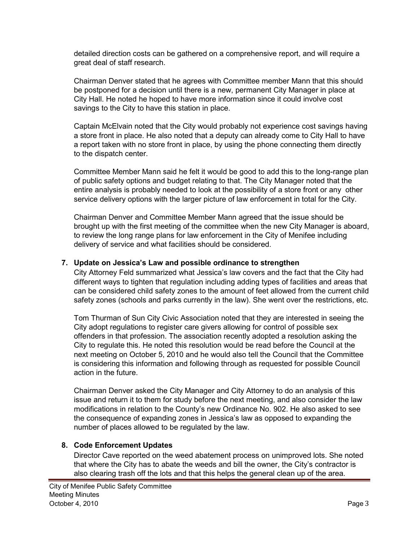detailed direction costs can be gathered on a comprehensive report, and will require a great deal of staff research.

Chairman Denver stated that he agrees with Committee member Mann that this should be postponed for a decision until there is a new, permanent City Manager in place at City Hall. He noted he hoped to have more information since it could involve cost savings to the City to have this station in place.

Captain McElvain noted that the City would probably not experience cost savings having a store front in place. He also noted that a deputy can already come to City Hall to have a report taken with no store front in place, by using the phone connecting them directly to the dispatch center.

Committee Member Mann said he felt it would be good to add this to the long-range plan of public safety options and budget relating to that. The City Manager noted that the entire analysis is probably needed to look at the possibility of a store front or any other service delivery options with the larger picture of law enforcement in total for the City.

Chairman Denver and Committee Member Mann agreed that the issue should be brought up with the first meeting of the committee when the new City Manager is aboard, to review the long range plans for law enforcement in the City of Menifee including delivery of service and what facilities should be considered.

### **7. Update on Jessica's Law and possible ordinance to strengthen**

City Attorney Feld summarized what Jessica's law covers and the fact that the City had different ways to tighten that regulation including adding types of facilities and areas that can be considered child safety zones to the amount of feet allowed from the current child safety zones (schools and parks currently in the law). She went over the restrictions, etc.

Tom Thurman of Sun City Civic Association noted that they are interested in seeing the City adopt regulations to register care givers allowing for control of possible sex offenders in that profession. The association recently adopted a resolution asking the City to regulate this. He noted this resolution would be read before the Council at the next meeting on October 5, 2010 and he would also tell the Council that the Committee is considering this information and following through as requested for possible Council action in the future.

Chairman Denver asked the City Manager and City Attorney to do an analysis of this issue and return it to them for study before the next meeting, and also consider the law modifications in relation to the County's new Ordinance No. 902. He also asked to see the consequence of expanding zones in Jessica's law as opposed to expanding the number of places allowed to be regulated by the law.

### **8. Code Enforcement Updates**

Director Cave reported on the weed abatement process on unimproved lots. She noted that where the City has to abate the weeds and bill the owner, the City's contractor is also clearing trash off the lots and that this helps the general clean up of the area.